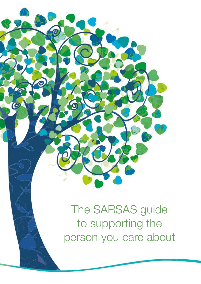

 $\overline{C}$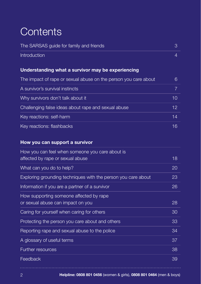# **Contents**

| The SARSAS guide for family and friends                                              | 3                 |
|--------------------------------------------------------------------------------------|-------------------|
| Introduction                                                                         | 4                 |
| Understanding what a survivor may be experiencing                                    |                   |
| The impact of rape or sexual abuse on the person you care about                      | 6                 |
| A survivor's survival instincts                                                      | 7                 |
| Why survivors don't talk about it                                                    | 10                |
| Challenging false ideas about rape and sexual abuse                                  | $12 \overline{ }$ |
| Key reactions: self-harm                                                             | 14                |
| Key reactions: flashbacks                                                            | 16                |
| How you can support a survivor                                                       |                   |
| How you can feel when someone you care about is<br>affortad by rano or covingl abuse | $\overline{1}$    |

| affected by rape or sexual abuse                              | 18 |
|---------------------------------------------------------------|----|
| What can you do to help?                                      | 20 |
| Exploring grounding techniques with the person you care about | 23 |
| Information if you are a partner of a survivor                | 26 |
| How supporting someone affected by rape                       |    |
| or sexual abuse can impact on you                             | 28 |
| Caring for yourself when caring for others                    | 30 |
| Protecting the person you care about and others               | 33 |
| Reporting rape and sexual abuse to the police                 | 34 |
| A glossary of useful terms                                    | 37 |
| Further resources                                             | 38 |
| Feedback                                                      | 39 |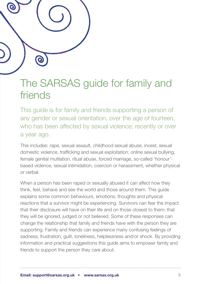## The SARSAS guide for family and friends

This guide is for family and friends supporting a person of any gender or sexual orientation, over the age of fourteen, who has been affected by sexual violence; recently or over a year ago.

This includes: rape, sexual assault, childhood sexual abuse, incest, sexual domestic violence, trafficking and sexual exploitation, online sexual bullying, female genital mutilation, ritual abuse, forced marriage, so-called 'honour' based violence, sexual intimidation, coercion or harassment, whether physical or verbal.

When a person has been raped or sexually abused it can affect how they think, feel, behave and see the world and those around them. This guide explains some common behaviours, emotions, thoughts and physical reactions that a survivor might be experiencing. Survivors can fear the impact that their disclosure will have on their life and on those closest to them; that they will be ignored, judged or not believed. Some of these responses can change the relationship that family and friends have with the person they are supporting. Family and friends can experience many confusing feelings of sadness, frustration, guilt, loneliness, helplessness and/or shock. By providing information and practical suggestions this guide aims to empower family and friends to support the person they care about.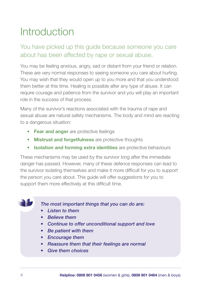# **Introduction**

### You have picked up this guide because someone you care about has been affected by rape or sexual abuse.

You may be feeling anxious, angry, sad or distant from your friend or relation. These are very normal responses to seeing someone you care about hurting. You may wish that they would open up to you more and that you understood them better at this time. Healing is possible after any type of abuse. It can require courage and patience from the survivor and you will play an important role in the success of that process.

Many of the survivor's reactions associated with the trauma of rape and sexual abuse are natural safety mechanisms. The body and mind are reacting to a dangerous situation:

- **• Fear and anger** are protective feelings
- **• Mistrust and forgetfulness** are protective thoughts
- **• Isolation and forming extra identities** are protective behaviours

These mechanisms may be used by the survivor long after the immediate danger has passed. However, many of these defence responses can lead to the survivor isolating themselves and make it more difficult for you to support the person you care about. This guide will offer suggestions for you to support them more effectively at this difficult time.

*The most important things that you can do are:*

- *• Listen to them*
- *• Believe them*
- *• Continue to offer unconditional support and love*
- *• Be patient with them*
- *• Encourage them*
- *• Reassure them that their feelings are normal*
- *• Give them choices*

4 **Helpline: 0808 801 0456** (women & girls), **0808 801 0464** (men & boys)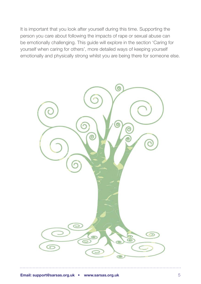It is important that you look after yourself during this time. Supporting the person you care about following the impacts of rape or sexual abuse can be emotionally challenging. This guide will explore in the section 'Caring for yourself when caring for others', more detailed ways of keeping yourself emotionally and physically strong whilst you are being there for someone else.

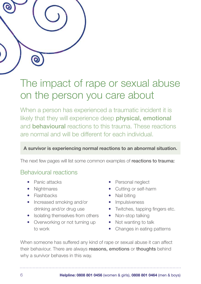

# The impact of rape or sexual abuse on the person you care about

When a person has experienced a traumatic incident it is likely that they will experience deep physical, emotional and behavioural reactions to this trauma. These reactions are normal and will be different for each individual.

#### **A survivor is experiencing normal reactions to an abnormal situation.**

The next few pages will list some common examples of reactions to trauma:

### Behavioural reactions

- Panic attacks
- Nightmares
- Flashbacks
- Increased smoking and/or drinking and/or drug use
- Isolating themselves from others
- Overworking or not turning up to work
- Personal neglect
- Cutting or self-harm
- Nail biting
- Impulsiveness
- Twitches, tapping fingers etc.
- Non-stop talking
- Not wanting to talk
- Changes in eating patterns

When someone has suffered any kind of rape or sexual abuse it can affect their behaviour. There are always reasons, emotions or thoughts behind why a survivor behaves in this way.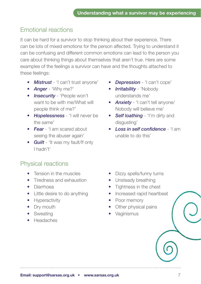### Emotional reactions

It can be hard for a survivor to stop thinking about their experience. There can be lots of mixed emotions for the person affected. Trying to understand it can be confusing and different common emotions can lead to the person you care about thinking things about themselves that aren't true. Here are some examples of the feelings a survivor can have and the thoughts attached to these feelings:

- *Mistrust* 'I can't trust anyone'
- *Anger* 'Why me?'
- *Insecurity* 'People won't want to be with me/What will people think of me?'
- *Hopelessness* 'I will never be the same'
- *Fear* 'I am scared about seeing the abuser again'
- *Guilt* 'It was my fault/If only I hadn't'

### Physical reactions

- **Franciscon in the muscles**
- Tiredness and exhaustion
- Diarrhoea
- Little desire to do anything
- Hyperactivity
- Dry mouth
- Sweating
- Headaches
- *Depression* 'I can't cope'
- *Irritability* 'Nobody understands me'
- *Anxiety* 'I can't tell anyone/ Nobody will believe me'
- *Self loathing* 'I'm dirty and disgusting'
- *Loss in self confidence* 'I am unable to do this'

- Dizzy spells/funny turns
- Unsteady breathing
- Tightness in the chest
- Increased rapid heartbeat
- Poor memory
- Other physical pains
- **Vaginismus**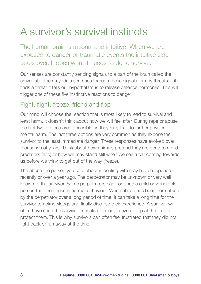# A survivor's survival instincts

The human brain is rational and intuitive. When we are exposed to danger or traumatic events the intuitive side takes over. It does what it needs to do to survive.

Our senses are constantly sending signals to a part of the brain called the amygdala. The amygdala searches through these signals for any threats. If it finds a threat it tells our hypothalamus to release defence hormones. This will trigger one of these five instinctive reactions to danger:

### Fight, flight, freeze, friend and flop

Our mind will choose the reaction that is most likely to lead to survival and least harm. It doesn't think about how we will feel after. During rape or abuse the first two options aren't possible as they may lead to further physical or mental harm. The last three options are very common as they expose the survivor to the least immediate danger. These responses have evolved over thousands of years. Think about how animals pretend they are dead to avoid predators (flop) or how we may stand still when we see a car coming towards us before we think to get out of the way (freeze).

The abuse the person you care about is dealing with may have happened recently or over a year ago. The perpetrator may be unknown or very well known to the survivor. Some perpetrators can convince a child or vulnerable person that the abuse is normal behaviour. When abuse has been normalised by the perpetrator over a long period of time, it can take a long time for the survivor to acknowledge and finally disclose their experience. A survivor will often have used the survival instincts of friend, freeze or flop at the time to protect them. This is why survivors can often feel frustrated that they did not fight back or run away at the time.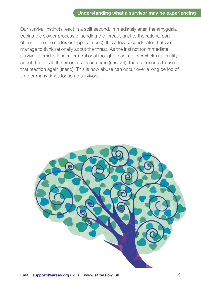#### **Understanding what a survivor may be experiencing**

Our survival instincts react in a split second. Immediately after, the amygdala begins the slower process of sending the threat signal to the rational part of our brain (the cortex or hippocampus). It is a few seconds later that we manage to think rationally about the threat. As the instinct for immediate survival overrides longer-term rational thought, fear can overwhelm rationality about the threat. If there is a safe outcome (survival), the brain learns to use that reaction again (friend). This is how abuse can occur over a long period of time or many times for some survivors.

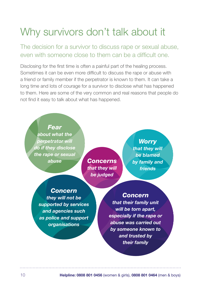# Why survivors don't talk about it

### The decision for a survivor to discuss rape or sexual abuse, even with someone close to them can be a difficult one.

Disclosing for the first time is often a painful part of the healing process. Sometimes it can be even more difficult to discuss the rape or abuse with a friend or family member if the perpetrator is known to them. It can take a long time and lots of courage for a survivor to disclose what has happened to them. Here are some of the very common and real reasons that people do not find it easy to talk about what has happened.



*organisations*

10 **Helpline: 0808 801 0456** (women & girls), **0808 801 0464** (men & boys)

*by someone known to and trusted by their family*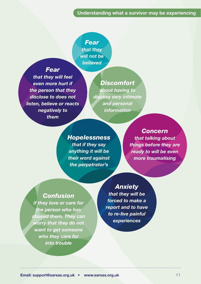#### **Understanding what a survivor may be experiencing**

*Fear that they will not be believed*

#### *Fear*

*that they will feel even more hurt if the person that they disclose to does not listen, believe or reacts negatively to them* 

*Discomfort about having to discuss very intimate and personal information*

*Hopelessness that if they say anything it will be their word against the perpetrator's*

#### *Concern*

*that talking about things before they are ready to will be even more traumatising*

*Confusion if they love or care for the person who has abused them. They can worry that they do not want to get someone who they care for into trouble*

#### *Anxiety that they will be forced to make a report and to have to re-live painful experiences*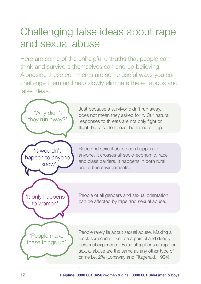# Challenging false ideas about rape and sexual abuse

Here are some of the unhelpful untruths that people can think and survivors themselves can end up believing. Alongside these comments are some useful ways you can challenge them and help slowly eliminate these taboos and false ideas.

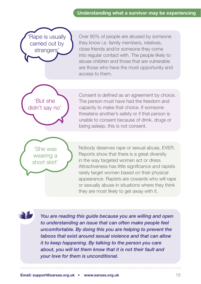Rape is usually carried out by strangers<sup>'</sup>

Over 80% of people are abused by someone they know i.e. family members, relatives, close friends and/or someone they come into regular contact with. The people likely to abuse children and those that are vulnerable are those who have the most opportunity and access to them.

'But she didn't say no'

Consent is defined as an agreement by choice. The person must have had the freedom and capacity to make that choice. If someone threatens another's safety or if that person is unable to consent because of drink, drugs or being asleep, this is not consent.

'She was wearing a short skirt'

Nobody deserves rape or sexual abuse, EVER. Reports show that there is a great diversity in the way targeted women act or dress. Attractiveness has little significance and rapists rarely target women based on their physical appearance. Rapists are cowards who will rape or sexually abuse in situations where they think they are most likely to get away with it.



*You are reading this guide because you are willing and open to understanding an issue that can often make people feel uncomfortable. By doing this you are helping to prevent the taboos that exist around sexual violence and that can allow it to keep happening. By talking to the person you care about, you will let them know that it is not their fault and your love for them is unconditional.*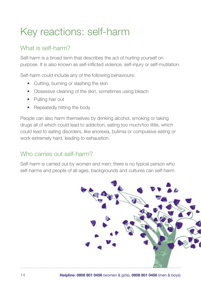# Key reactions: self-harm

### What is self-harm?

Self-harm is a broad term that describes the act of hurting yourself on purpose. It is also known as self-inflicted violence, self-injury or self-mutilation.

Self-harm could include any of the following behaviours:

- Cutting, burning or slashing the skin
- Obsessive cleaning of the skin, sometimes using bleach
- Pulling hair out
- Repeatedly hitting the body

People can also harm themselves by drinking alcohol, smoking or taking drugs all of which could lead to addiction, eating too much/too little, which could lead to eating disorders, like anorexia, bulimia or compulsive eating or work extremely hard, leading to exhaustion.

### Who carries out self-harm?

Self-harm is carried out by women and men; there is no typical person who self-harms and people of all ages, backgrounds and cultures can self-harm.

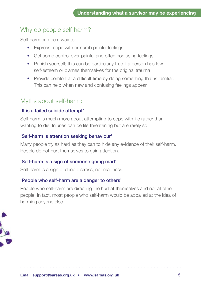### Why do people self-harm?

Self-harm can be a way to:

- Express, cope with or numb painful feelings
- Get some control over painful and often confusing feelings
- Punish yourself; this can be particularly true if a person has low self-esteem or blames themselves for the original trauma
- Provide comfort at a difficult time by doing something that is familiar. This can help when new and confusing feelings appear

### Myths about self-harm:

#### 'It is a failed suicide attempt'

Self-harm is much more about attempting to cope with life rather than wanting to die. Injuries can be life threatening but are rarely so.

#### 'Self-harm is attention seeking behaviour'

Many people try as hard as they can to hide any evidence of their self-harm. People do not hurt themselves to gain attention.

#### 'Self-harm is a sign of someone going mad'

Self-harm is a sign of deep distress, not madness.

#### 'People who self-harm are a danger to others'

People who self-harm are directing the hurt at themselves and not at other people. In fact, most people who self-harm would be appalled at the idea of harming anyone else.

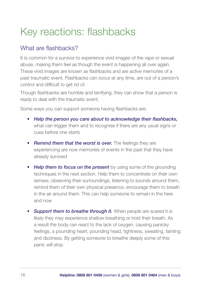# Key reactions: flashbacks

### What are flashbacks?

It is common for a survivor to experience vivid images of the rape or sexual abuse, making them feel as though the event is happening all over again. These vivid images are known as flashbacks and are active memories of a past traumatic event. Flashbacks can occur at any time, are out of a person's control and difficult to get rid of.

Though flashbacks are horrible and terrifying, they can show that a person is ready to deal with the traumatic event.

Some ways you can support someone having flashbacks are:

- *Help the person you care about to acknowledge their flashbacks,* what can trigger them and to recognise if there are any usual signs or cues before one starts
- *Remind them that the worst is over.* The feelings they are experiencing are now memories of events in the past that they have already survived
- *Help them to focus on the present* by using some of the grounding techniques in the next section. Help them to concentrate on their own senses; observing their surroundings, listening to sounds around them, remind them of their own physical presence, encourage them to breath in the air around them. This can help someone to remain in the here and now
- *Support them to breathe through it.* When people are scared it is likely they may experience shallow breathing or hold their breath. As a result the body can react to the lack of oxygen, causing panicky feelings, a pounding heart, pounding head, tightness, sweating, fainting and dizziness. By getting someone to breathe deeply some of this panic will stop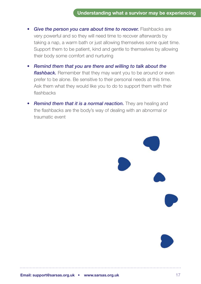- *Give the person you care about time to recover.* Flashbacks are very powerful and so they will need time to recover afterwards by taking a nap, a warm bath or just allowing themselves some quiet time. Support them to be patient, kind and gentle to themselves by allowing their body some comfort and nurturing
- *Remind them that you are there and willing to talk about the flashback.* Remember that they may want you to be around or even prefer to be alone. Be sensitive to their personal needs at this time. Ask them what they would like you to do to support them with their flashbacks
- *Remind them that it is a normal reaction.* They are healing and the flashbacks are the body's way of dealing with an abnormal or traumatic event

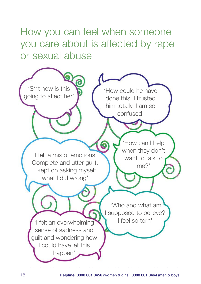## How you can feel when someone you care about is affected by rape or sexual abuse

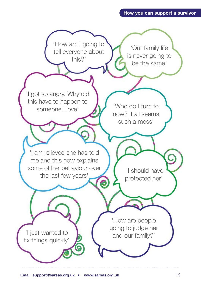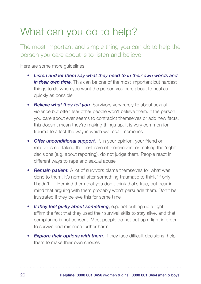# What can you do to help?

The most important and simple thing you can do to help the person you care about is to listen and believe.

Here are some more quidelines:

- *Listen and let them say what they need to in their own words and in their own time.* This can be one of the most important but hardest things to do when you want the person you care about to heal as quickly as possible
- **Believe what they tell you.** Survivors very rarely lie about sexual violence but often fear other people won't believe them. If the person you care about ever seems to contradict themselves or add new facts, this doesn't mean they're making things up. It is very common for trauma to affect the way in which we recall memories
- *Offer unconditional support.* If, in your opinion, your friend or relative is not taking the best care of themselves, or making the 'right' decisions (e.g. about reporting), do not judge them. People react in different ways to rape and sexual abuse
- *Remain patient.* A lot of survivors blame themselves for what was done to them. It's normal after something traumatic to think 'If only I hadn't...' Remind them that you don't think that's true, but bear in mind that arguing with them probably won't persuade them. Don't be frustrated if they believe this for some time
- *If they feel guilty about something*, e.g. not putting up a fight, affirm the fact that they used their survival skills to stay alive, and that compliance is not consent. Most people do not put up a fight in order to survive and minimise further harm
- *Explore their options with them.* If they face difficult decisions, help them to make their own choices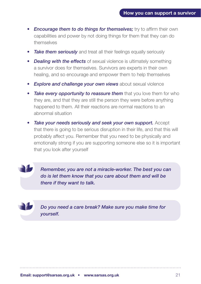- **Encourage them to do things for themselves;** try to affirm their own capabilities and power by not doing things for them that they can do themselves
- *Take them seriously* and treat all their feelings equally seriously
- *Dealing with the effects* of sexual violence is ultimately something a survivor does for themselves. Survivors are experts in their own healing, and so encourage and empower them to help themselves
- *• Explore and challenge your own views* about sexual violence
- *Take every opportunity to reassure them* that you love them for who they are, and that they are still the person they were before anything happened to them. All their reactions are normal reactions to an abnormal situation
- *Take your needs seriously and seek your own support.* Accept that there is going to be serious disruption in their life, and that this will probably affect you. Remember that you need to be physically and emotionally strong if you are supporting someone else so it is important that you look after yourself

*Remember, you are not a miracle-worker. The best you can do is let them know that you care about them and will be there if they want to talk.*



*Do you need a care break? Make sure you make time for yourself.*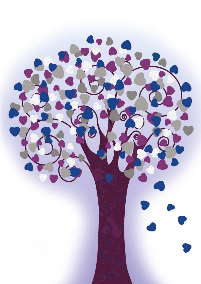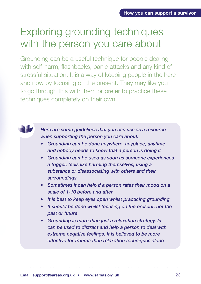## Exploring grounding techniques with the person you care about

Grounding can be a useful technique for people dealing with self-harm, flashbacks, panic attacks and any kind of stressful situation. It is a way of keeping people in the here and now by focusing on the present. They may like you to go through this with them or prefer to practice these techniques completely on their own.



*Here are some guidelines that you can use as a resource when supporting the person you care about:*

- *Grounding can be done anywhere, anyplace, anytime and nobody needs to know that a person is doing it*
- *Grounding can be used as soon as someone experiences a trigger, feels like harming themselves, using a substance or disassociating with others and their surroundings*
- *Sometimes it can help if a person rates their mood on a scale of 1-10 before and after*
- *• It is best to keep eyes open whilst practicing grounding*
- *It should be done whilst focusing on the present, not the past or future*
- *Grounding is more than just a relaxation strategy. Is can be used to distract and help a person to deal with extreme negative feelings. It is believed to be more effective for trauma than relaxation techniques alone*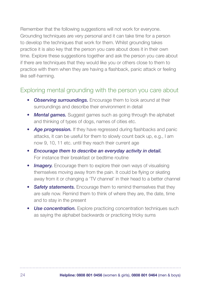Remember that the following suggestions will not work for everyone. Grounding techniques are very personal and it can take time for a person to develop the techniques that work for them. Whilst grounding takes practice it is also key that the person you care about does it in their own time. Explore these suggestions together and ask the person you care about if there are techniques that they would like you or others close to them to practice with them when they are having a flashback, panic attack or feeling like self-harming.

#### Exploring mental grounding with the person you care about

- *Observing surroundings.* Encourage them to look around at their surroundings and describe their environment in detail
- *Mental games.* Suggest games such as going through the alphabet and thinking of types of dogs, names of cities etc.
- *Age progression.* If they have regressed during flashbacks and panic attacks, it can be useful for them to slowly count back up, e.g., I am now 9, 10, 11 etc. until they reach their current age
- *Encourage them to describe an everyday activity in detail.* For instance their breakfast or bedtime routine
- *Imagery.* Encourage them to explore their own ways of visualising themselves moving away from the pain. It could be flying or skating away from it or changing a 'TV channel' in their head to a better channel
- *Safety statements.* Encourage them to remind themselves that they are safe now. Remind them to think of where they are, the date, time and to stay in the present
- *Use concentration.* Explore practicing concentration techniques such as saying the alphabet backwards or practicing tricky sums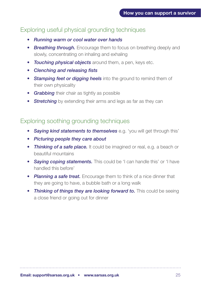### Exploring useful physical grounding techniques

- *• Running warm or cool water over hands*
- *Breathing through.* Encourage them to focus on breathing deeply and slowly, concentrating on inhaling and exhaling
- *• Touching physical objects* around them, a pen, keys etc.
- *• Clenching and releasing fists*
- *Stamping feet or digging heels* into the ground to remind them of their own physicality
- *• Grabbing* their chair as tightly as possible
- *• Stretching* by extending their arms and legs as far as they can

#### Exploring soothing grounding techniques

- *• Saying kind statements to themselves* e.g. 'you will get through this'
- *• Picturing people they care about*
- *Thinking of a safe place.* It could be imagined or real, e.g. a beach or beautiful mountains
- **Saying coping statements.** This could be 'I can handle this' or 'I have handled this before'
- *Planning a safe treat.* Encourage them to think of a nice dinner that they are going to have, a bubble bath or a long walk
- *Thinking of things they are looking forward to.* This could be seeing a close friend or going out for dinner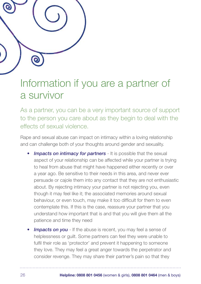

## Information if you are a partner of a survivor

As a partner, you can be a very important source of support to the person you care about as they begin to deal with the effects of sexual violence.

Rape and sexual abuse can impact on intimacy within a loving relationship and can challenge both of your thoughts around gender and sexuality.

- *Impacts on intimacy for partners* It is possible that the sexual aspect of your relationship can be affected while your partner is trying to heal from abuse that might have happened either recently or over a year ago. Be sensitive to their needs in this area, and never ever persuade or cajole them into any contact that they are not enthusiastic about. By rejecting intimacy your partner is not rejecting you, even though it may feel like it; the associated memories around sexual behaviour, or even touch, may make it too difficult for them to even contemplate this. If this is the case, reassure your partner that you understand how important that is and that you will give them all the patience and time they need
- **Impacts on you** If the abuse is recent, you may feel a sense of helplessness or guilt. Some partners can feel they were unable to fulfil their role as 'protector' and prevent it happening to someone they love. They may feel a great anger towards the perpetrator and consider revenge. They may share their partner's pain so that they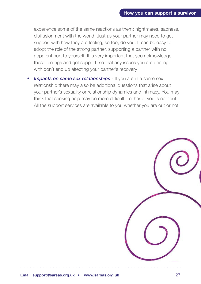experience some of the same reactions as them: nightmares, sadness, disillusionment with the world. Just as your partner may need to get support with how they are feeling, so too, do you. It can be easy to adopt the role of the strong partner, supporting a partner with no apparent hurt to yourself. It is very important that you acknowledge these feelings and get support, so that any issues you are dealing with don't end up affecting your partner's recovery

*Impacts on same sex relationships* - If you are in a same sex relationship there may also be additional questions that arise about your partner's sexuality or relationship dynamics and intimacy. You may think that seeking help may be more difficult if either of you is not 'out'. All the support services are available to you whether you are out or not.

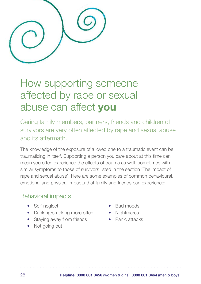# How supporting someone affected by rape or sexual abuse can affect **you**

Caring family members, partners, friends and children of survivors are very often affected by rape and sexual abuse and its aftermath.

The knowledge of the exposure of a loved one to a traumatic event can be traumatizing in itself. Supporting a person you care about at this time can mean you often experience the effects of trauma as well, sometimes with similar symptoms to those of survivors listed in the section 'The impact of rape and sexual abuse'. Here are some examples of common behavioural, emotional and physical impacts that family and friends can experience:

### Behavioral impacts

- Self-neglect
- Drinking/smoking more often
- Staying away from friends
- Not going out
- Bad moods
- Nightmares
- Panic attacks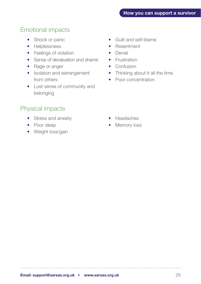### Emotional impacts

- Shock or panic
- Helplessness
- Feelings of violation
- Sense of devaluation and shame
- Rage or anger
- Isolation and estrangement from others
- Lost sense of community and belonging

### Physical impacts

- Stress and anxiety
- Poor sleep
- Weight loss/gain
- Guilt and self-blame
- Resentment
- Denial
- Frustration
- Confusion
- Thinking about it all the time
- Poor concentration

- Headaches
- Memory loss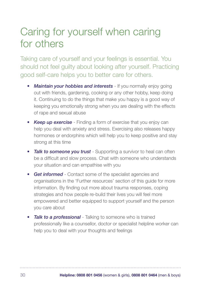## Caring for yourself when caring for others

Taking care of yourself and your feelings is essential. You should not feel guilty about looking after yourself. Practicing good self-care helps you to better care for others.

- **Maintain your hobbies and interests** If you normally enjoy going out with friends, gardening, cooking or any other hobby, keep doing it. Continuing to do the things that make you happy is a good way of keeping you emotionally strong when you are dealing with the effects of rape and sexual abuse
- *Keep up exercise* Finding a form of exercise that you enjoy can help you deal with anxiety and stress. Exercising also releases happy hormones or endorphins which will help you to keep positive and stay strong at this time
- *Talk to someone you trust* Supporting a survivor to heal can often be a difficult and slow process. Chat with someone who understands your situation and can empathise with you
- *Get informed* Contact some of the specialist agencies and organisations in the 'Further resources' section of this guide for more information. By finding out more about trauma responses, coping strategies and how people re-build their lives you will feel more empowered and better equipped to support yourself and the person you care about
- *Talk to a professional* Talking to someone who is trained professionally like a counsellor, doctor or specialist helpline worker can help you to deal with your thoughts and feelings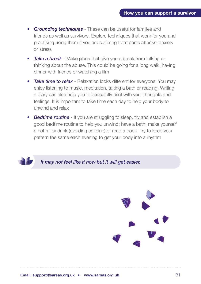- *Grounding techniques* These can be useful for families and friends as well as survivors. Explore techniques that work for you and practicing using them if you are suffering from panic attacks, anxiety or stress
- *Take a break*  Make plans that give you a break from talking or thinking about the abuse. This could be going for a long walk, having dinner with friends or watching a film
- *Take time to relax*  Relaxation looks different for everyone. You may enjoy listening to music, meditation, taking a bath or reading. Writing a diary can also help you to peacefully deal with your thoughts and feelings. It is important to take time each day to help your body to unwind and relax
- *Bedtime routine*  If you are struggling to sleep, try and establish a good bedtime routine to help you unwind; have a bath, make yourself a hot milky drink (avoiding caffeine) or read a book. Try to keep your pattern the same each evening to get your body into a rhythm



*It may not feel like it now but it will get easier.*

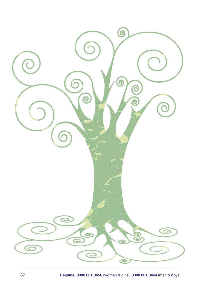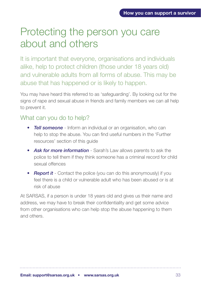## Protecting the person you care about and others

It is important that everyone, organisations and individuals alike, help to protect children (those under 18 years old) and vulnerable adults from all forms of abuse. This may be abuse that has happened or is likely to happen.

You may have heard this referred to as 'safeguarding'. By looking out for the signs of rape and sexual abuse in friends and family members we can all help to prevent it.

#### What can you do to help?

- *Tell someone* Inform an individual or an organisation, who can help to stop the abuse. You can find useful numbers in the 'Further resources' section of this guide
- *Ask for more information* Sarah's Law allows parents to ask the police to tell them if they think someone has a criminal record for child sexual offences
- **Report it** Contact the police (you can do this anonymously) if you feel there is a child or vulnerable adult who has been abused or is at risk of abuse

At SARSAS, if a person is under 18 years old and gives us their name and address, we may have to break their confidentiality and get some advice from other organisations who can help stop the abuse happening to them and others.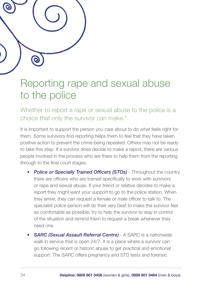

# Reporting rape and sexual abuse to the police

Whether to report a rape or sexual abuse to the police is a choice that only the survivor can make.\*

It is important to support the person you care about to do what feels right for them. Some survivors find reporting helps them to feel that they have taken positive action to prevent the crime being repeated. Others may not be ready to take this step. If a survivor does decide to make a report, there are various people involved in the process who are there to help them from the reporting through to the final court stages.

- *Police or Specially Trained Officers (STOs)* Throughout the country there are officers who are trained specifically to work with survivors or rape and sexual abuse. If your friend or relative decides to make a report they might want your support to go to the police station. When they arrive, they can request a female or male officer to talk to. The specialist police person will do their very best to make the survivor feel as comfortable as possible, try to help the survivor to stay in control of the situation and remind them to request a break whenever they need one
- *SARC (Sexual Assault Referral Centre)* A SARC is a nationwide walk in service that is open 24/7. It is a place where a survivor can go following recent or historic abuse to get practical and emotional support. The SARC offers pregnancy and STD tests and forensic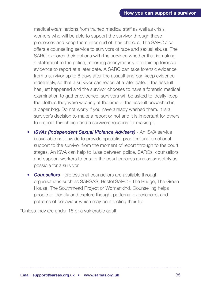medical examinations from trained medical staff as well as crisis workers who will be able to support the survivor through these processes and keep them informed of their choices. The SARC also offers a counselling service to survivors of rape and sexual abuse. The SARC explores their options with the survivor, whether that is making a statement to the police, reporting anonymously or retaining forensic evidence to report at a later date. A SARC can take forensic evidence from a survivor up to 8 days after the assault and can keep evidence indefinitely, so that a survivor can report at a later date. If the assault has just happened and the survivor chooses to have a forensic medical examination to gather evidence, survivors will be asked to ideally keep the clothes they were wearing at the time of the assault unwashed in a paper bag. Do not worry if you have already washed them. It is a survivor's decision to make a report or not and it is important for others to respect this choice and a survivors reasons for making it

- *ISVAs (Independent Sexual Violence Advisers)* An ISVA service is available nationwide to provide specialist practical and emotional support to the survivor from the moment of report through to the court stages. An ISVA can help to liaise between police, SARCs, counsellors and support workers to ensure the court process runs as smoothly as possible for a survivor
- *Counsellors* professional counsellors are available through organisations such as SARSAS, Bristol SARC - The Bridge, The Green House, The Southmead Project or Womankind. Counselling helps people to identify and explore thought patterns, experiences, and patterns of behaviour which may be affecting their life

\*Unless they are under 18 or a vulnerable adult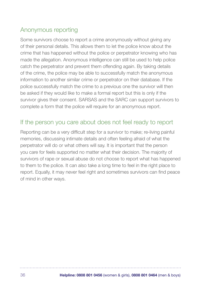### Anonymous reporting

Some survivors choose to report a crime anonymously without giving any of their personal details. This allows them to let the police know about the crime that has happened without the police or perpetrator knowing who has made the allegation. Anonymous intelligence can still be used to help police catch the perpetrator and prevent them offending again. By taking details of the crime, the police may be able to successfully match the anonymous information to another similar crime or perpetrator on their database. If the police successfully match the crime to a previous one the survivor will then be asked if they would like to make a formal report but this is only if the survivor gives their consent. SARSAS and the SARC can support survivors to complete a form that the police will require for an anonymous report.

#### If the person you care about does not feel ready to report

Reporting can be a very difficult step for a survivor to make; re-living painful memories, discussing intimate details and often feeling afraid of what the perpetrator will do or what others will say. It is important that the person you care for feels supported no matter what their decision. The majority of survivors of rape or sexual abuse do not choose to report what has happened to them to the police. It can also take a long time to feel in the right place to report. Equally, it may never feel right and sometimes survivors can find peace of mind in other ways.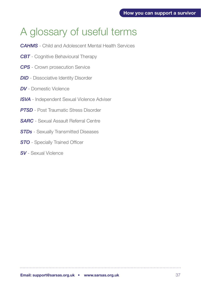# A glossary of useful terms

- *CAHMS* Child and Adolescent Mental Health Services
- **CBT** Cognitive Behavioural Therapy
- *CPS* Crown prosecution Service
- *DID* Dissociative Identity Disorder
- *DV* Domestic Violence
- *ISVA*  Independent Sexual Violence Adviser
- **PTSD** Post Traumatic Stress Disorder
- *SARC* Sexual Assault Referral Centre
- **STDs** Sexually Transmitted Diseases
- **STO** Specially Trained Officer
- *SV* Sexual Violence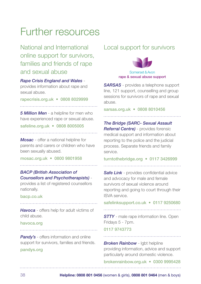### Further resources

National and International online support for survivors, families and friends of rape and sexual abuse

*Rape Crisis England and Wales* -

provides information about rape and sexual abuse.

rapecrisis.org.uk • 0808 8029999

*5 Million Men* - a helpline for men who have experienced rape or sexual abuse. safeline.org.uk • 0808 8005005

*Mosac* - offer a national helpline for

parents and carers or children who have been sexually abused.

mosac.org.uk • 0800 9801958

#### *BACP (British Association of Counsellors and Psychotherapists)* -

provides a list of registered counsellors nationally.

#### bacp.co.uk

*Havoca* - offers help for adult victims of child abuse.

#### havoca.org

*Pandy's - offers information and online* support for survivors, families and friends. pandys.org

#### Local support for survivors



#### rape & sexual abuse support

*SARSAS* - provides a telephone support line, 121 support, counselling and group sessions for survivors of rape and sexual abuse.

sarsas.org.uk • 0808 8010456

#### *The Bridge (SARC- Sexual Assault*

*Referral Centre)* - provides forensic medical support and information about reporting to the police and the judicial process. Separate friends and family service.

turntothebridge.org • 0117 3426999

**Safe Link** - provides confidential advice and advocacy for male and female survivors of sexual violence around reporting and going to court through their ISVA service.

safelinksupport.co.uk • 0117 9250680

**STTY** - male rape information line. Open Fridays 5 - 7pm.

#### 0117 9743773

*Broken Rainbow* - lgbt helpline providing information, advice and support particularly around domestic violence.

brokenrainbow.org.uk • 0300 9995428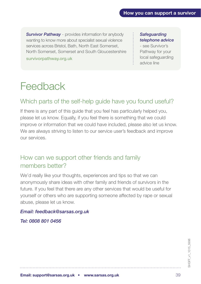*Survivor Pathway* - provides information for anybody wanting to know more about specialist sexual violence services across Bristol, Bath, North East Somerset, North Somerset, Somerset and South Gloucestershire survivorpathway.org.uk

*Safeguarding telephone advice* 

- see Survivor's Pathway for your local safeguarding advice line

# **Feedback**

### Which parts of the self-help guide have you found useful?

If there is any part of this guide that you feel has particularly helped you, please let us know. Equally, if you feel there is something that we could improve or information that we could have included, please also let us know. We are always striving to listen to our service user's feedback and improve our services.

### How can we support other friends and family members better?

We'd really like your thoughts, experiences and tips so that we can anonymously share ideas with other family and friends of survivors in the future. If you feel that there are any other services that would be useful for yourself or others who are supporting someone affected by rape or sexual abuse, please let us know.

#### *Email: feedback@sarsas.org.uk*

*Tel: 0808 801 0456*